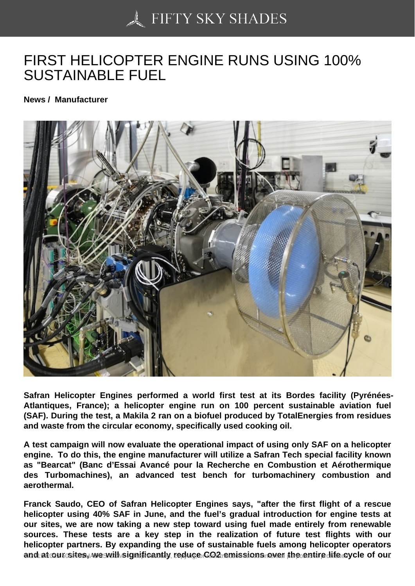## [FIRST HELICOPTER E](https://50skyshades.com)NGINE RUNS USING 100% SUSTAINABLE FUEL

News / Manufacturer

Safran Helicopter Engines performed a world first test at its Bordes facility (Pyrénées-Atlantiques, France); a helicopter engine run on 100 percent sustainable aviation fuel (SAF). During the test, a Makila 2 ran on a biofuel produced by TotalEnergies from residues and waste from the circular economy, specifically used cooking oil.

A test campaign will now evaluate the operational impact of using only SAF on a helicopter engine. To do this, the engine manufacturer will utilize a Safran Tech special facility known as "Bearcat" (Banc d'Essai Avancé pour la Recherche en Combustion et Aérothermique des Turbomachines), an advanced test bench for turbomachinery combustion and aerothermal.

Franck Saudo, CEO of Safran Helicopter Engines says, "after the first flight of a rescue helicopter using 40% SAF in June, and the fuel's gradual introduction for engine tests at our sites, we are now taking a new step toward using fuel made entirely from renewable sources. These tests are a key step in the realization of future test flights with our helicopter partners. By expanding the use of sustainable fuels among helicopter operators and at our sites, we will significantly reduce GO2 emissions over the entire life cycle of our entire reproduc